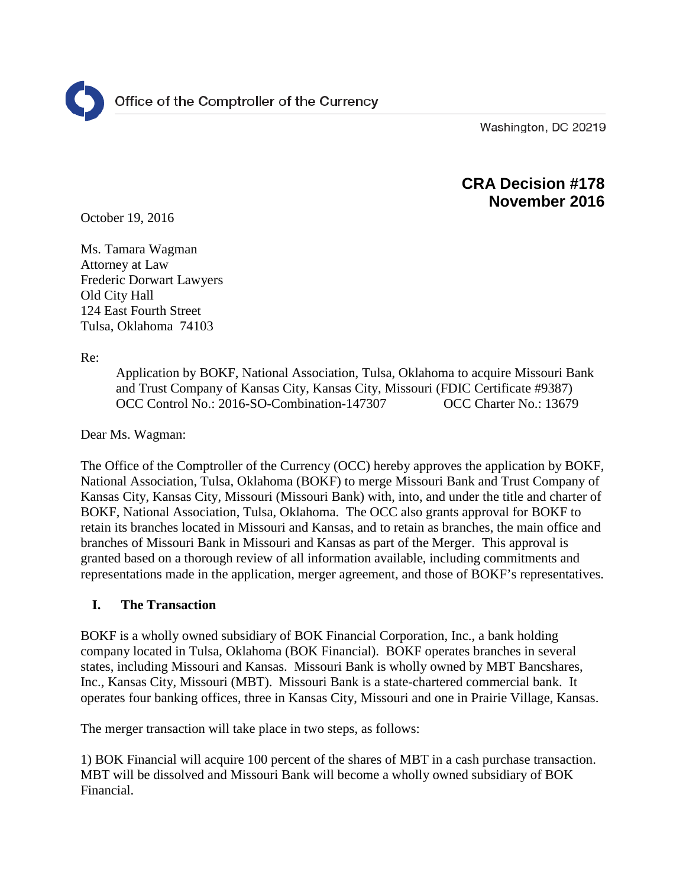Washington, DC 20219

# **CRA Decision #178 November 2016**

October 19, 2016

Ms. Tamara Wagman Attorney at Law Frederic Dorwart Lawyers Old City Hall 124 East Fourth Street Tulsa, Oklahoma 74103

Re:

Application by BOKF, National Association, Tulsa, Oklahoma to acquire Missouri Bank and Trust Company of Kansas City, Kansas City, Missouri (FDIC Certificate #9387) OCC Control No.: 2016-SO-Combination-147307 OCC Charter No.: 13679

Dear Ms. Wagman:

The Office of the Comptroller of the Currency (OCC) hereby approves the application by BOKF, National Association, Tulsa, Oklahoma (BOKF) to merge Missouri Bank and Trust Company of Kansas City, Kansas City, Missouri (Missouri Bank) with, into, and under the title and charter of BOKF, National Association, Tulsa, Oklahoma. The OCC also grants approval for BOKF to retain its branches located in Missouri and Kansas, and to retain as branches, the main office and branches of Missouri Bank in Missouri and Kansas as part of the Merger. This approval is granted based on a thorough review of all information available, including commitments and representations made in the application, merger agreement, and those of BOKF's representatives.

#### **I. The Transaction**

BOKF is a wholly owned subsidiary of BOK Financial Corporation, Inc., a bank holding company located in Tulsa, Oklahoma (BOK Financial). BOKF operates branches in several states, including Missouri and Kansas. Missouri Bank is wholly owned by MBT Bancshares, Inc., Kansas City, Missouri (MBT). Missouri Bank is a state-chartered commercial bank. It operates four banking offices, three in Kansas City, Missouri and one in Prairie Village, Kansas.

The merger transaction will take place in two steps, as follows:

1) BOK Financial will acquire 100 percent of the shares of MBT in a cash purchase transaction. MBT will be dissolved and Missouri Bank will become a wholly owned subsidiary of BOK Financial.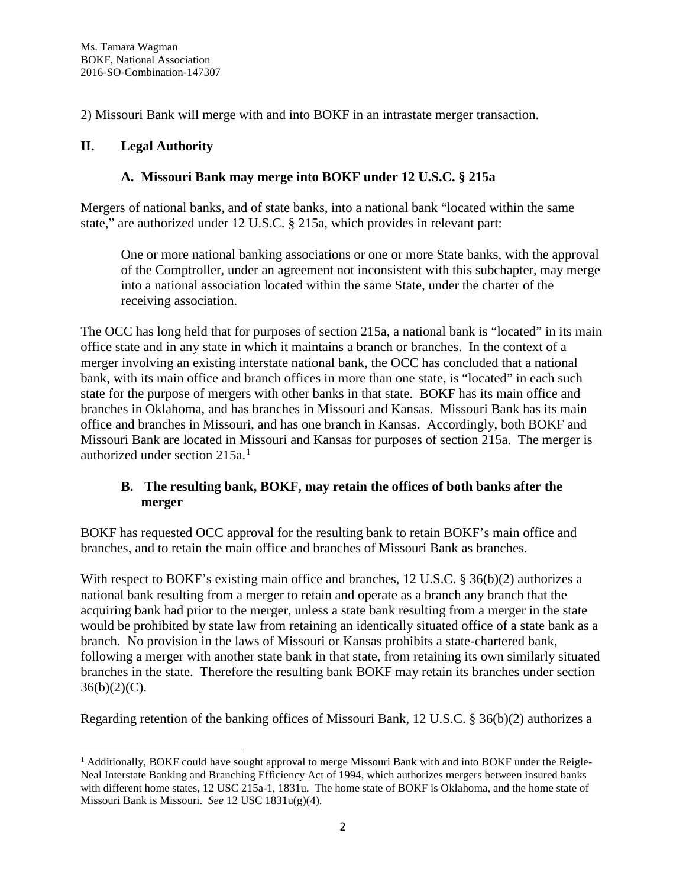2) Missouri Bank will merge with and into BOKF in an intrastate merger transaction.

### **II. Legal Authority**

# **A. Missouri Bank may merge into BOKF under 12 U.S.C. § 215a**

Mergers of national banks, and of state banks, into a national bank "located within the same state," are authorized under 12 U.S.C. § 215a, which provides in relevant part:

One or more national banking associations or one or more State banks, with the approval of the Comptroller, under an agreement not inconsistent with this subchapter, may merge into a national association located within the same State, under the charter of the receiving association.

The OCC has long held that for purposes of section 215a, a national bank is "located" in its main office state and in any state in which it maintains a branch or branches. In the context of a merger involving an existing interstate national bank, the OCC has concluded that a national bank, with its main office and branch offices in more than one state, is "located" in each such state for the purpose of mergers with other banks in that state. BOKF has its main office and branches in Oklahoma, and has branches in Missouri and Kansas. Missouri Bank has its main office and branches in Missouri, and has one branch in Kansas. Accordingly, both BOKF and Missouri Bank are located in Missouri and Kansas for purposes of section 215a. The merger is authorized under section 215a. [1](#page-1-0)

# **B. The resulting bank, BOKF, may retain the offices of both banks after the merger**

BOKF has requested OCC approval for the resulting bank to retain BOKF's main office and branches, and to retain the main office and branches of Missouri Bank as branches.

With respect to BOKF's existing main office and branches, 12 U.S.C. § 36(b)(2) authorizes a national bank resulting from a merger to retain and operate as a branch any branch that the acquiring bank had prior to the merger, unless a state bank resulting from a merger in the state would be prohibited by state law from retaining an identically situated office of a state bank as a branch. No provision in the laws of Missouri or Kansas prohibits a state-chartered bank, following a merger with another state bank in that state, from retaining its own similarly situated branches in the state. Therefore the resulting bank BOKF may retain its branches under section  $36(b)(2)(C)$ .

Regarding retention of the banking offices of Missouri Bank, 12 U.S.C. § 36(b)(2) authorizes a

<span id="page-1-0"></span> $<sup>1</sup>$  Additionally, BOKF could have sought approval to merge Missouri Bank with and into BOKF under the Reigle-</sup> Neal Interstate Banking and Branching Efficiency Act of 1994, which authorizes mergers between insured banks with different home states, 12 USC 215a-1, 1831u. The home state of BOKF is Oklahoma, and the home state of Missouri Bank is Missouri. *See* 12 USC 1831u(g)(4).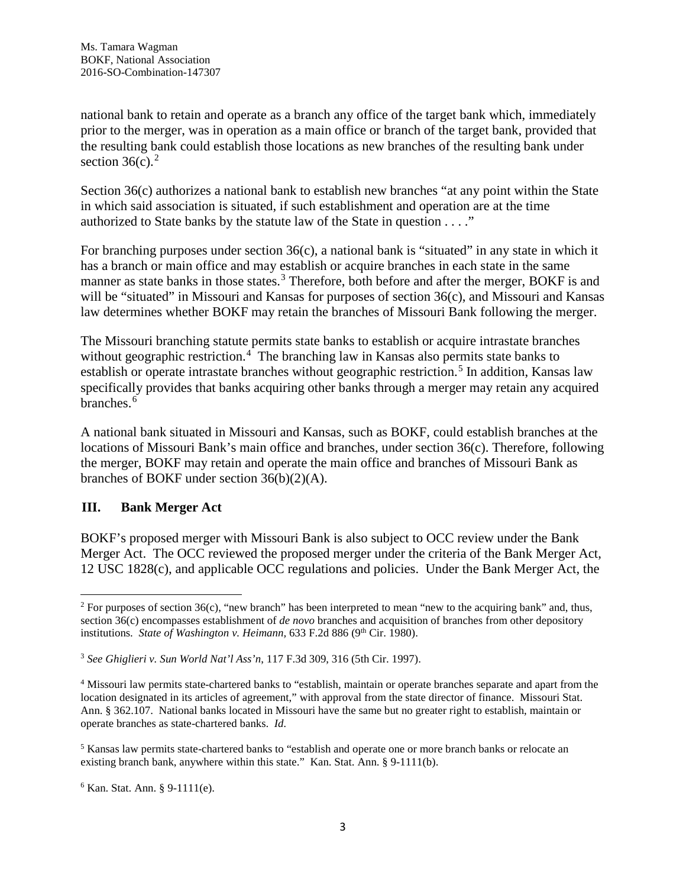national bank to retain and operate as a branch any office of the target bank which, immediately prior to the merger, was in operation as a main office or branch of the target bank, provided that the resulting bank could establish those locations as new branches of the resulting bank under section  $36(c)$ .<sup>[2](#page-2-0)</sup>

Section 36(c) authorizes a national bank to establish new branches "at any point within the State in which said association is situated, if such establishment and operation are at the time authorized to State banks by the statute law of the State in question . . . ."

For branching purposes under section  $36(c)$ , a national bank is "situated" in any state in which it has a branch or main office and may establish or acquire branches in each state in the same manner as state banks in those states.<sup>[3](#page-2-1)</sup> Therefore, both before and after the merger, BOKF is and will be "situated" in Missouri and Kansas for purposes of section 36(c), and Missouri and Kansas law determines whether BOKF may retain the branches of Missouri Bank following the merger.

The Missouri branching statute permits state banks to establish or acquire intrastate branches without geographic restriction.<sup>[4](#page-2-2)</sup> The branching law in Kansas also permits state banks to establish or operate intrastate branches without geographic restriction.<sup>[5](#page-2-3)</sup> In addition, Kansas law specifically provides that banks acquiring other banks through a merger may retain any acquired branches.<sup>[6](#page-2-4)</sup>

A national bank situated in Missouri and Kansas, such as BOKF, could establish branches at the locations of Missouri Bank's main office and branches, under section 36(c). Therefore, following the merger, BOKF may retain and operate the main office and branches of Missouri Bank as branches of BOKF under section 36(b)(2)(A).

#### **III. Bank Merger Act**

BOKF's proposed merger with Missouri Bank is also subject to OCC review under the Bank Merger Act. The OCC reviewed the proposed merger under the criteria of the Bank Merger Act, 12 USC 1828(c), and applicable OCC regulations and policies. Under the Bank Merger Act, the

<span id="page-2-0"></span><sup>&</sup>lt;sup>2</sup> For purposes of section  $36(c)$ , "new branch" has been interpreted to mean "new to the acquiring bank" and, thus, section 36(c) encompasses establishment of *de novo* branches and acquisition of branches from other depository institutions. *State of Washington v. Heimann*, 633 F.2d 886 (9<sup>th</sup> Cir. 1980).

<span id="page-2-1"></span><sup>3</sup> *See Ghiglieri v. Sun World Nat'l Ass'n*, 117 F.3d 309, 316 (5th Cir. 1997).

<span id="page-2-2"></span><sup>4</sup> Missouri law permits state-chartered banks to "establish, maintain or operate branches separate and apart from the location designated in its articles of agreement," with approval from the state director of finance. Missouri Stat. Ann. § 362.107. National banks located in Missouri have the same but no greater right to establish, maintain or operate branches as state-chartered banks. *Id.*

<span id="page-2-3"></span><sup>5</sup> Kansas law permits state-chartered banks to "establish and operate one or more branch banks or relocate an existing branch bank, anywhere within this state." Kan. Stat. Ann. § 9-1111(b).

<span id="page-2-4"></span> $6$  Kan. Stat. Ann. § 9-1111(e).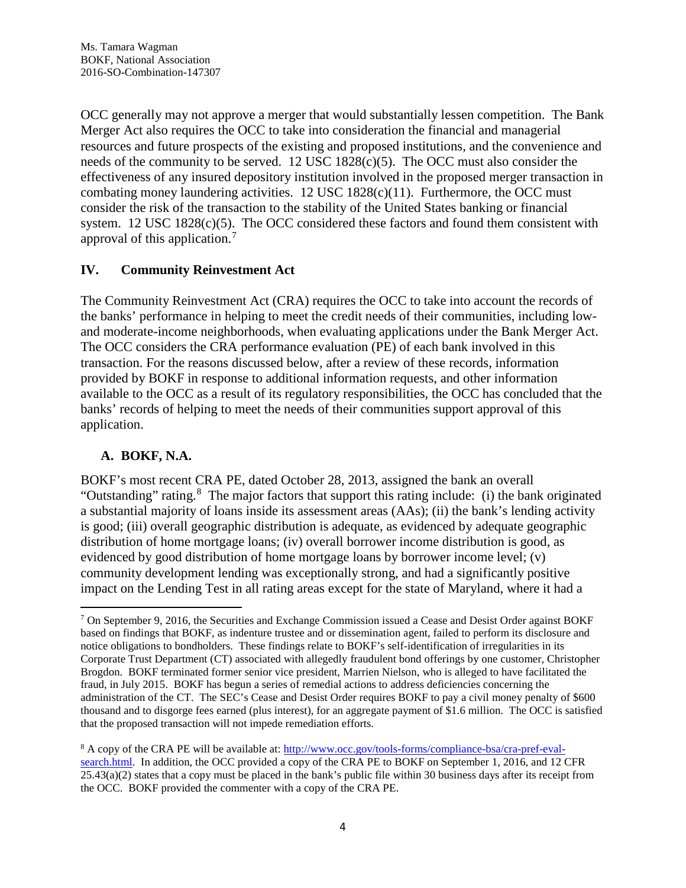OCC generally may not approve a merger that would substantially lessen competition. The Bank Merger Act also requires the OCC to take into consideration the financial and managerial resources and future prospects of the existing and proposed institutions, and the convenience and needs of the community to be served. 12 USC 1828(c)(5). The OCC must also consider the effectiveness of any insured depository institution involved in the proposed merger transaction in combating money laundering activities.  $12$  USC  $1828(c)(11)$ . Furthermore, the OCC must consider the risk of the transaction to the stability of the United States banking or financial system. 12 USC 1828(c)(5). The OCC considered these factors and found them consistent with approval of this application.[7](#page-3-0)

# **IV. Community Reinvestment Act**

The Community Reinvestment Act (CRA) requires the OCC to take into account the records of the banks' performance in helping to meet the credit needs of their communities, including lowand moderate-income neighborhoods, when evaluating applications under the Bank Merger Act. The OCC considers the CRA performance evaluation (PE) of each bank involved in this transaction. For the reasons discussed below, after a review of these records, information provided by BOKF in response to additional information requests, and other information available to the OCC as a result of its regulatory responsibilities, the OCC has concluded that the banks' records of helping to meet the needs of their communities support approval of this application.

#### **A. BOKF, N.A.**

BOKF's most recent CRA PE, dated October 28, 2013, assigned the bank an overall "Outstanding" rating.<sup>[8](#page-3-1)</sup> The major factors that support this rating include: (i) the bank originated a substantial majority of loans inside its assessment areas (AAs); (ii) the bank's lending activity is good; (iii) overall geographic distribution is adequate, as evidenced by adequate geographic distribution of home mortgage loans; (iv) overall borrower income distribution is good, as evidenced by good distribution of home mortgage loans by borrower income level; (v) community development lending was exceptionally strong, and had a significantly positive impact on the Lending Test in all rating areas except for the state of Maryland, where it had a

<span id="page-3-0"></span> <sup>7</sup> On September 9, 2016, the Securities and Exchange Commission issued a Cease and Desist Order against BOKF based on findings that BOKF, as indenture trustee and or dissemination agent, failed to perform its disclosure and notice obligations to bondholders. These findings relate to BOKF's self-identification of irregularities in its Corporate Trust Department (CT) associated with allegedly fraudulent bond offerings by one customer, Christopher Brogdon. BOKF terminated former senior vice president, Marrien Nielson, who is alleged to have facilitated the fraud, in July 2015. BOKF has begun a series of remedial actions to address deficiencies concerning the administration of the CT. The SEC's Cease and Desist Order requires BOKF to pay a civil money penalty of \$600 thousand and to disgorge fees earned (plus interest), for an aggregate payment of \$1.6 million. The OCC is satisfied that the proposed transaction will not impede remediation efforts.

<span id="page-3-1"></span><sup>8</sup> A copy of the CRA PE will be available at: [http://www.occ.gov/tools-forms/compliance-bsa/cra-pref-eval](http://www.occ.gov/tools-forms/compliance-bsa/cra-pref-eval-search.html)[search.html.](http://www.occ.gov/tools-forms/compliance-bsa/cra-pref-eval-search.html) In addition, the OCC provided a copy of the CRA PE to BOKF on September 1, 2016, and 12 CFR  $25.43(a)(2)$  states that a copy must be placed in the bank's public file within 30 business days after its receipt from the OCC. BOKF provided the commenter with a copy of the CRA PE.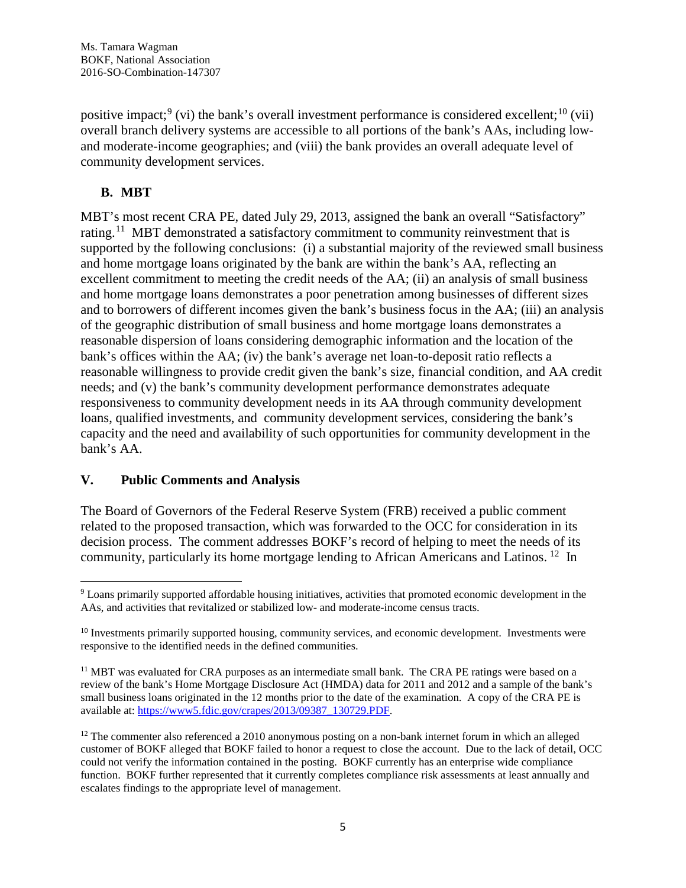positive impact;<sup>[9](#page-4-0)</sup> (vi) the bank's overall investment performance is considered excellent;<sup>[10](#page-4-1)</sup> (vii) overall branch delivery systems are accessible to all portions of the bank's AAs, including lowand moderate-income geographies; and (viii) the bank provides an overall adequate level of community development services.

# **B. MBT**

MBT's most recent CRA PE, dated July 29, 2013, assigned the bank an overall "Satisfactory" rating.<sup>11</sup> MBT demonstrated a satisfactory commitment to community reinvestment that is supported by the following conclusions: (i) a substantial majority of the reviewed small business and home mortgage loans originated by the bank are within the bank's AA, reflecting an excellent commitment to meeting the credit needs of the AA; (ii) an analysis of small business and home mortgage loans demonstrates a poor penetration among businesses of different sizes and to borrowers of different incomes given the bank's business focus in the AA; (iii) an analysis of the geographic distribution of small business and home mortgage loans demonstrates a reasonable dispersion of loans considering demographic information and the location of the bank's offices within the AA; (iv) the bank's average net loan-to-deposit ratio reflects a reasonable willingness to provide credit given the bank's size, financial condition, and AA credit needs; and (v) the bank's community development performance demonstrates adequate responsiveness to community development needs in its AA through community development loans, qualified investments, and community development services, considering the bank's capacity and the need and availability of such opportunities for community development in the bank's AA.

#### **V. Public Comments and Analysis**

The Board of Governors of the Federal Reserve System (FRB) received a public comment related to the proposed transaction, which was forwarded to the OCC for consideration in its decision process. The comment addresses BOKF's record of helping to meet the needs of its community, particularly its home mortgage lending to African Americans and Latinos. [12](#page-4-3) In

<span id="page-4-0"></span><sup>&</sup>lt;sup>9</sup> Loans primarily supported affordable housing initiatives, activities that promoted economic development in the AAs, and activities that revitalized or stabilized low- and moderate-income census tracts.

<span id="page-4-1"></span> $10$  Investments primarily supported housing, community services, and economic development. Investments were responsive to the identified needs in the defined communities.

<span id="page-4-2"></span><sup>&</sup>lt;sup>11</sup> MBT was evaluated for CRA purposes as an intermediate small bank. The CRA PE ratings were based on a review of the bank's Home Mortgage Disclosure Act (HMDA) data for 2011 and 2012 and a sample of the bank's small business loans originated in the 12 months prior to the date of the examination. A copy of the CRA PE is available at: [https://www5.fdic.gov/crapes/2013/09387\\_130729.PDF.](https://www5.fdic.gov/crapes/2013/09387_130729.PDF)

<span id="page-4-3"></span> $12$  The commenter also referenced a 2010 anonymous posting on a non-bank internet forum in which an alleged customer of BOKF alleged that BOKF failed to honor a request to close the account. Due to the lack of detail, OCC could not verify the information contained in the posting. BOKF currently has an enterprise wide compliance function. BOKF further represented that it currently completes compliance risk assessments at least annually and escalates findings to the appropriate level of management.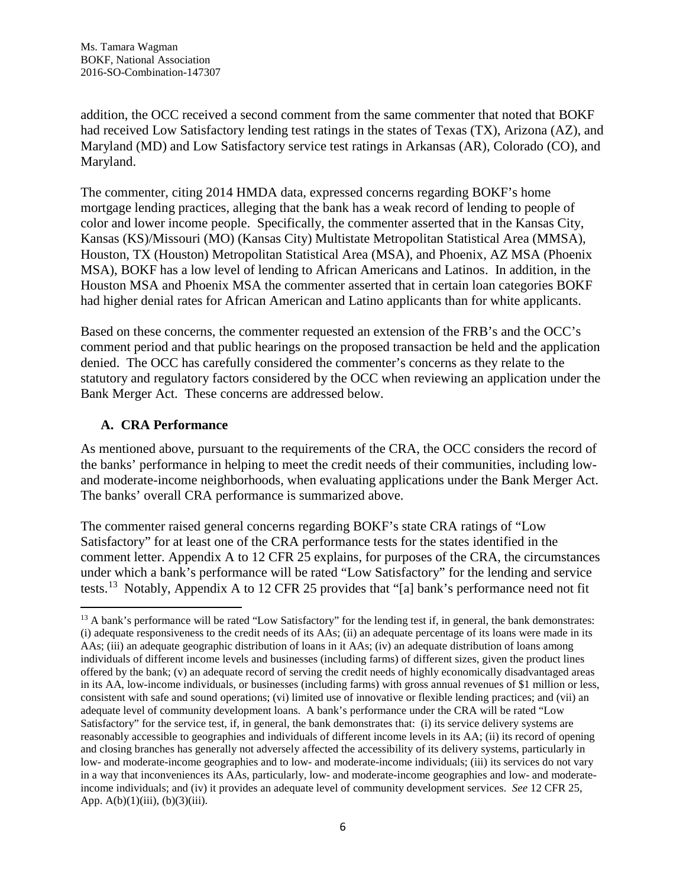addition, the OCC received a second comment from the same commenter that noted that BOKF had received Low Satisfactory lending test ratings in the states of Texas (TX), Arizona (AZ), and Maryland (MD) and Low Satisfactory service test ratings in Arkansas (AR), Colorado (CO), and Maryland.

The commenter, citing 2014 HMDA data, expressed concerns regarding BOKF's home mortgage lending practices, alleging that the bank has a weak record of lending to people of color and lower income people. Specifically, the commenter asserted that in the Kansas City, Kansas (KS)/Missouri (MO) (Kansas City) Multistate Metropolitan Statistical Area (MMSA), Houston, TX (Houston) Metropolitan Statistical Area (MSA), and Phoenix, AZ MSA (Phoenix MSA), BOKF has a low level of lending to African Americans and Latinos. In addition, in the Houston MSA and Phoenix MSA the commenter asserted that in certain loan categories BOKF had higher denial rates for African American and Latino applicants than for white applicants.

Based on these concerns, the commenter requested an extension of the FRB's and the OCC's comment period and that public hearings on the proposed transaction be held and the application denied. The OCC has carefully considered the commenter's concerns as they relate to the statutory and regulatory factors considered by the OCC when reviewing an application under the Bank Merger Act. These concerns are addressed below.

#### **A. CRA Performance**

As mentioned above, pursuant to the requirements of the CRA, the OCC considers the record of the banks' performance in helping to meet the credit needs of their communities, including lowand moderate-income neighborhoods, when evaluating applications under the Bank Merger Act. The banks' overall CRA performance is summarized above.

The commenter raised general concerns regarding BOKF's state CRA ratings of "Low Satisfactory" for at least one of the CRA performance tests for the states identified in the comment letter. Appendix A to 12 CFR 25 explains, for purposes of the CRA, the circumstances under which a bank's performance will be rated "Low Satisfactory" for the lending and service tests.[13](#page-5-0) Notably, Appendix A to 12 CFR 25 provides that "[a] bank's performance need not fit

<span id="page-5-0"></span><sup>&</sup>lt;sup>13</sup> A bank's performance will be rated "Low Satisfactory" for the lending test if, in general, the bank demonstrates: (i) adequate responsiveness to the credit needs of its AAs; (ii) an adequate percentage of its loans were made in its AAs; (iii) an adequate geographic distribution of loans in it AAs; (iv) an adequate distribution of loans among individuals of different income levels and businesses (including farms) of different sizes, given the product lines offered by the bank; (v) an adequate record of serving the credit needs of highly economically disadvantaged areas in its AA, low-income individuals, or businesses (including farms) with gross annual revenues of \$1 million or less, consistent with safe and sound operations; (vi) limited use of innovative or flexible lending practices; and (vii) an adequate level of community development loans. A bank's performance under the CRA will be rated "Low Satisfactory" for the service test, if, in general, the bank demonstrates that: (i) its service delivery systems are reasonably accessible to geographies and individuals of different income levels in its AA; (ii) its record of opening and closing branches has generally not adversely affected the accessibility of its delivery systems, particularly in low- and moderate-income geographies and to low- and moderate-income individuals; (iii) its services do not vary in a way that inconveniences its AAs, particularly, low- and moderate-income geographies and low- and moderateincome individuals; and (iv) it provides an adequate level of community development services. *See* 12 CFR 25, App.  $A(b)(1)(iii)$ ,  $(b)(3)(iii)$ .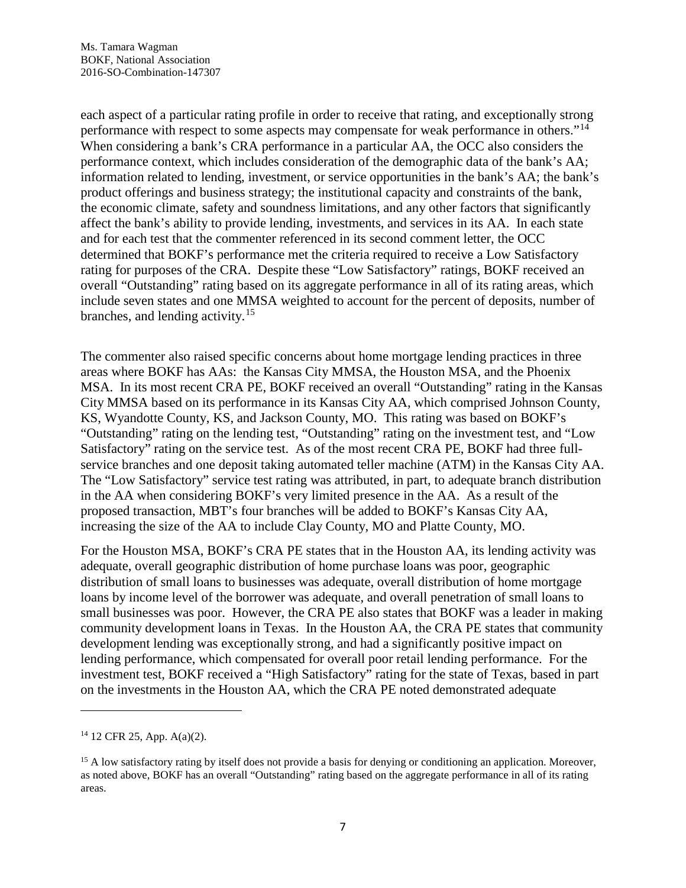each aspect of a particular rating profile in order to receive that rating, and exceptionally strong performance with respect to some aspects may compensate for weak performance in others."[14](#page-6-0) When considering a bank's CRA performance in a particular AA, the OCC also considers the performance context, which includes consideration of the demographic data of the bank's AA; information related to lending, investment, or service opportunities in the bank's AA; the bank's product offerings and business strategy; the institutional capacity and constraints of the bank, the economic climate, safety and soundness limitations, and any other factors that significantly affect the bank's ability to provide lending, investments, and services in its AA. In each state and for each test that the commenter referenced in its second comment letter, the OCC determined that BOKF's performance met the criteria required to receive a Low Satisfactory rating for purposes of the CRA. Despite these "Low Satisfactory" ratings, BOKF received an overall "Outstanding" rating based on its aggregate performance in all of its rating areas, which include seven states and one MMSA weighted to account for the percent of deposits, number of branches, and lending activity.<sup>[15](#page-6-1)</sup>

The commenter also raised specific concerns about home mortgage lending practices in three areas where BOKF has AAs: the Kansas City MMSA, the Houston MSA, and the Phoenix MSA. In its most recent CRA PE, BOKF received an overall "Outstanding" rating in the Kansas City MMSA based on its performance in its Kansas City AA, which comprised Johnson County, KS, Wyandotte County, KS, and Jackson County, MO. This rating was based on BOKF's "Outstanding" rating on the lending test, "Outstanding" rating on the investment test, and "Low Satisfactory" rating on the service test. As of the most recent CRA PE, BOKF had three fullservice branches and one deposit taking automated teller machine (ATM) in the Kansas City AA. The "Low Satisfactory" service test rating was attributed, in part, to adequate branch distribution in the AA when considering BOKF's very limited presence in the AA. As a result of the proposed transaction, MBT's four branches will be added to BOKF's Kansas City AA, increasing the size of the AA to include Clay County, MO and Platte County, MO.

For the Houston MSA, BOKF's CRA PE states that in the Houston AA, its lending activity was adequate, overall geographic distribution of home purchase loans was poor, geographic distribution of small loans to businesses was adequate, overall distribution of home mortgage loans by income level of the borrower was adequate, and overall penetration of small loans to small businesses was poor. However, the CRA PE also states that BOKF was a leader in making community development loans in Texas. In the Houston AA, the CRA PE states that community development lending was exceptionally strong, and had a significantly positive impact on lending performance, which compensated for overall poor retail lending performance. For the investment test, BOKF received a "High Satisfactory" rating for the state of Texas, based in part on the investments in the Houston AA, which the CRA PE noted demonstrated adequate

 $\overline{a}$ 

<span id="page-6-0"></span><sup>14</sup> 12 CFR 25, App. A(a)(2).

<span id="page-6-1"></span><sup>&</sup>lt;sup>15</sup> A low satisfactory rating by itself does not provide a basis for denying or conditioning an application. Moreover, as noted above, BOKF has an overall "Outstanding" rating based on the aggregate performance in all of its rating areas.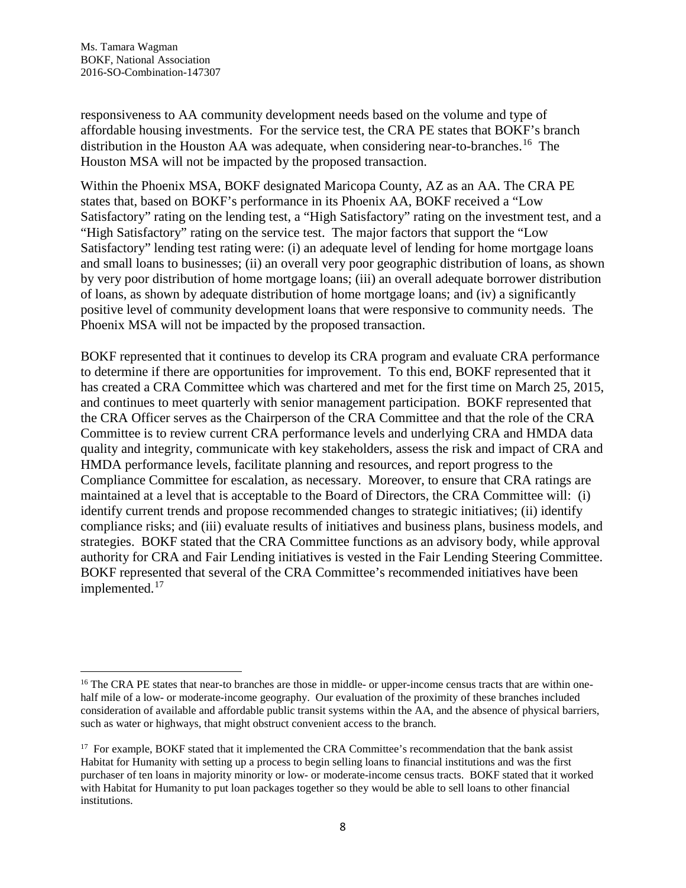responsiveness to AA community development needs based on the volume and type of affordable housing investments. For the service test, the CRA PE states that BOKF's branch distribution in the Houston AA was adequate, when considering near-to-branches.<sup>16</sup> The Houston MSA will not be impacted by the proposed transaction.

Within the Phoenix MSA, BOKF designated Maricopa County, AZ as an AA. The CRA PE states that, based on BOKF's performance in its Phoenix AA, BOKF received a "Low Satisfactory" rating on the lending test, a "High Satisfactory" rating on the investment test, and a "High Satisfactory" rating on the service test. The major factors that support the "Low Satisfactory" lending test rating were: (i) an adequate level of lending for home mortgage loans and small loans to businesses; (ii) an overall very poor geographic distribution of loans, as shown by very poor distribution of home mortgage loans; (iii) an overall adequate borrower distribution of loans, as shown by adequate distribution of home mortgage loans; and (iv) a significantly positive level of community development loans that were responsive to community needs. The Phoenix MSA will not be impacted by the proposed transaction.

BOKF represented that it continues to develop its CRA program and evaluate CRA performance to determine if there are opportunities for improvement. To this end, BOKF represented that it has created a CRA Committee which was chartered and met for the first time on March 25, 2015, and continues to meet quarterly with senior management participation. BOKF represented that the CRA Officer serves as the Chairperson of the CRA Committee and that the role of the CRA Committee is to review current CRA performance levels and underlying CRA and HMDA data quality and integrity, communicate with key stakeholders, assess the risk and impact of CRA and HMDA performance levels, facilitate planning and resources, and report progress to the Compliance Committee for escalation, as necessary. Moreover, to ensure that CRA ratings are maintained at a level that is acceptable to the Board of Directors, the CRA Committee will: (i) identify current trends and propose recommended changes to strategic initiatives; (ii) identify compliance risks; and (iii) evaluate results of initiatives and business plans, business models, and strategies. BOKF stated that the CRA Committee functions as an advisory body, while approval authority for CRA and Fair Lending initiatives is vested in the Fair Lending Steering Committee. BOKF represented that several of the CRA Committee's recommended initiatives have been implemented.<sup>[17](#page-7-1)</sup>

<span id="page-7-0"></span><sup>&</sup>lt;sup>16</sup> The CRA PE states that near-to branches are those in middle- or upper-income census tracts that are within onehalf mile of a low- or moderate-income geography. Our evaluation of the proximity of these branches included consideration of available and affordable public transit systems within the AA, and the absence of physical barriers, such as water or highways, that might obstruct convenient access to the branch.

<span id="page-7-1"></span><sup>&</sup>lt;sup>17</sup> For example, BOKF stated that it implemented the CRA Committee's recommendation that the bank assist Habitat for Humanity with setting up a process to begin selling loans to financial institutions and was the first purchaser of ten loans in majority minority or low- or moderate-income census tracts. BOKF stated that it worked with Habitat for Humanity to put loan packages together so they would be able to sell loans to other financial institutions.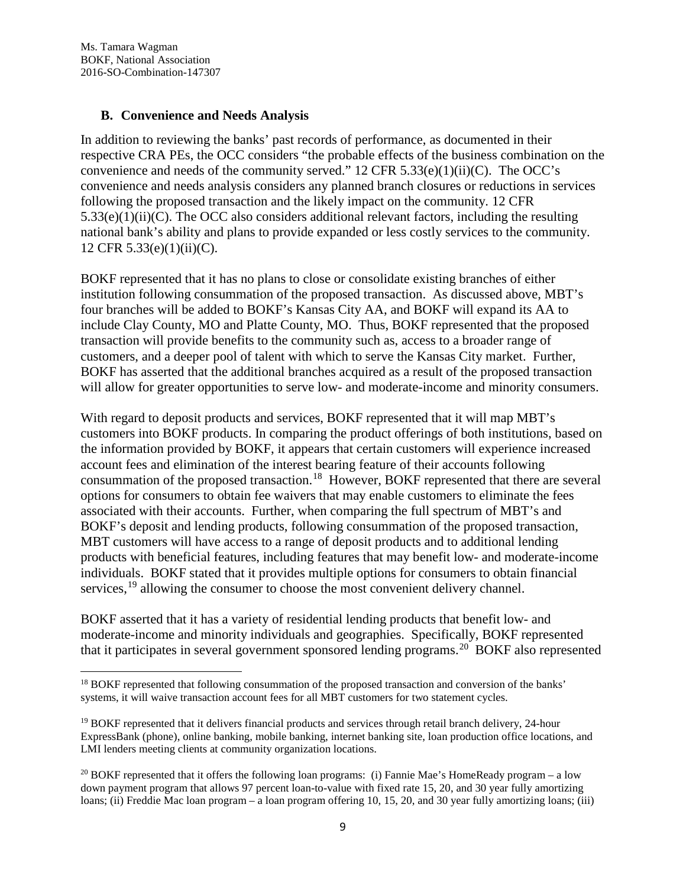#### **B. Convenience and Needs Analysis**

In addition to reviewing the banks' past records of performance, as documented in their respective CRA PEs, the OCC considers "the probable effects of the business combination on the convenience and needs of the community served."  $12 \text{ CFR } 5.33(e)(1)(ii)(C)$ . The OCC's convenience and needs analysis considers any planned branch closures or reductions in services following the proposed transaction and the likely impact on the community. 12 CFR  $5.33(e)(1)(ii)(C)$ . The OCC also considers additional relevant factors, including the resulting national bank's ability and plans to provide expanded or less costly services to the community. 12 CFR 5.33(e)(1)(ii)(C).

BOKF represented that it has no plans to close or consolidate existing branches of either institution following consummation of the proposed transaction. As discussed above, MBT's four branches will be added to BOKF's Kansas City AA, and BOKF will expand its AA to include Clay County, MO and Platte County, MO. Thus, BOKF represented that the proposed transaction will provide benefits to the community such as, access to a broader range of customers, and a deeper pool of talent with which to serve the Kansas City market. Further, BOKF has asserted that the additional branches acquired as a result of the proposed transaction will allow for greater opportunities to serve low- and moderate-income and minority consumers.

With regard to deposit products and services, BOKF represented that it will map MBT's customers into BOKF products. In comparing the product offerings of both institutions, based on the information provided by BOKF, it appears that certain customers will experience increased account fees and elimination of the interest bearing feature of their accounts following consummation of the proposed transaction.[18](#page-8-0) However, BOKF represented that there are several options for consumers to obtain fee waivers that may enable customers to eliminate the fees associated with their accounts. Further, when comparing the full spectrum of MBT's and BOKF's deposit and lending products, following consummation of the proposed transaction, MBT customers will have access to a range of deposit products and to additional lending products with beneficial features, including features that may benefit low- and moderate-income individuals. BOKF stated that it provides multiple options for consumers to obtain financial services.<sup>[19](#page-8-1)</sup> allowing the consumer to choose the most convenient delivery channel.

BOKF asserted that it has a variety of residential lending products that benefit low- and moderate-income and minority individuals and geographies. Specifically, BOKF represented that it participates in several government sponsored lending programs.<sup>[20](#page-8-2)</sup> BOKF also represented

<span id="page-8-0"></span><sup>&</sup>lt;sup>18</sup> BOKF represented that following consummation of the proposed transaction and conversion of the banks' systems, it will waive transaction account fees for all MBT customers for two statement cycles.

<span id="page-8-1"></span><sup>&</sup>lt;sup>19</sup> BOKF represented that it delivers financial products and services through retail branch delivery, 24-hour ExpressBank (phone), online banking, mobile banking, internet banking site, loan production office locations, and LMI lenders meeting clients at community organization locations.

<span id="page-8-2"></span><sup>&</sup>lt;sup>20</sup> BOKF represented that it offers the following loan programs: (i) Fannie Mae's HomeReady program – a low down payment program that allows 97 percent loan-to-value with fixed rate 15, 20, and 30 year fully amortizing loans; (ii) Freddie Mac loan program – a loan program offering 10, 15, 20, and 30 year fully amortizing loans; (iii)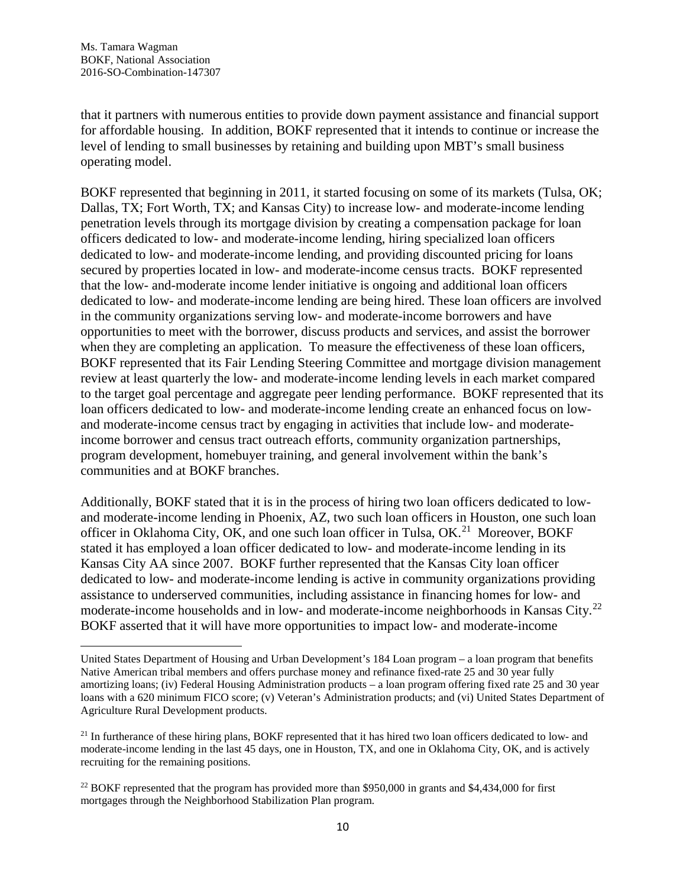$\overline{a}$ 

that it partners with numerous entities to provide down payment assistance and financial support for affordable housing. In addition, BOKF represented that it intends to continue or increase the level of lending to small businesses by retaining and building upon MBT's small business operating model.

BOKF represented that beginning in 2011, it started focusing on some of its markets (Tulsa, OK; Dallas, TX; Fort Worth, TX; and Kansas City) to increase low- and moderate-income lending penetration levels through its mortgage division by creating a compensation package for loan officers dedicated to low- and moderate-income lending, hiring specialized loan officers dedicated to low- and moderate-income lending, and providing discounted pricing for loans secured by properties located in low- and moderate-income census tracts. BOKF represented that the low- and-moderate income lender initiative is ongoing and additional loan officers dedicated to low- and moderate-income lending are being hired. These loan officers are involved in the community organizations serving low- and moderate-income borrowers and have opportunities to meet with the borrower, discuss products and services, and assist the borrower when they are completing an application. To measure the effectiveness of these loan officers, BOKF represented that its Fair Lending Steering Committee and mortgage division management review at least quarterly the low- and moderate-income lending levels in each market compared to the target goal percentage and aggregate peer lending performance. BOKF represented that its loan officers dedicated to low- and moderate-income lending create an enhanced focus on lowand moderate-income census tract by engaging in activities that include low- and moderateincome borrower and census tract outreach efforts, community organization partnerships, program development, homebuyer training, and general involvement within the bank's communities and at BOKF branches.

Additionally, BOKF stated that it is in the process of hiring two loan officers dedicated to lowand moderate-income lending in Phoenix, AZ, two such loan officers in Houston, one such loan officer in Oklahoma City,  $\overrightarrow{OK}$ , and one such loan officer in Tulsa, OK.<sup>21</sup> Moreover, BOKF stated it has employed a loan officer dedicated to low- and moderate-income lending in its Kansas City AA since 2007. BOKF further represented that the Kansas City loan officer dedicated to low- and moderate-income lending is active in community organizations providing assistance to underserved communities, including assistance in financing homes for low- and moderate-income households and in low- and moderate-income neighborhoods in Kansas City.[22](#page-9-1) BOKF asserted that it will have more opportunities to impact low- and moderate-income

United States Department of Housing and Urban Development's 184 Loan program – a loan program that benefits Native American tribal members and offers purchase money and refinance fixed-rate 25 and 30 year fully amortizing loans; (iv) Federal Housing Administration products – a loan program offering fixed rate 25 and 30 year loans with a 620 minimum FICO score; (v) Veteran's Administration products; and (vi) United States Department of Agriculture Rural Development products.

<span id="page-9-0"></span><sup>&</sup>lt;sup>21</sup> In furtherance of these hiring plans, BOKF represented that it has hired two loan officers dedicated to low- and moderate-income lending in the last 45 days, one in Houston, TX, and one in Oklahoma City, OK, and is actively recruiting for the remaining positions.

<span id="page-9-1"></span> $^{22}$  BOKF represented that the program has provided more than \$950,000 in grants and \$4,434,000 for first mortgages through the Neighborhood Stabilization Plan program.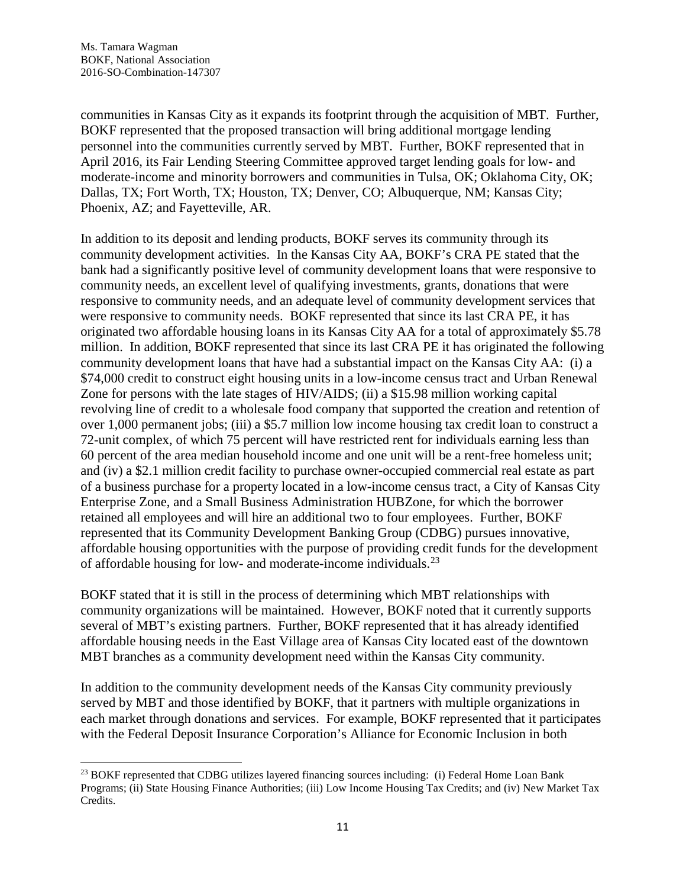communities in Kansas City as it expands its footprint through the acquisition of MBT. Further, BOKF represented that the proposed transaction will bring additional mortgage lending personnel into the communities currently served by MBT. Further, BOKF represented that in April 2016, its Fair Lending Steering Committee approved target lending goals for low- and moderate-income and minority borrowers and communities in Tulsa, OK; Oklahoma City, OK; Dallas, TX; Fort Worth, TX; Houston, TX; Denver, CO; Albuquerque, NM; Kansas City; Phoenix, AZ; and Fayetteville, AR.

In addition to its deposit and lending products, BOKF serves its community through its community development activities. In the Kansas City AA, BOKF's CRA PE stated that the bank had a significantly positive level of community development loans that were responsive to community needs, an excellent level of qualifying investments, grants, donations that were responsive to community needs, and an adequate level of community development services that were responsive to community needs. BOKF represented that since its last CRA PE, it has originated two affordable housing loans in its Kansas City AA for a total of approximately \$5.78 million. In addition, BOKF represented that since its last CRA PE it has originated the following community development loans that have had a substantial impact on the Kansas City AA: (i) a \$74,000 credit to construct eight housing units in a low-income census tract and Urban Renewal Zone for persons with the late stages of HIV/AIDS; (ii) a \$15.98 million working capital revolving line of credit to a wholesale food company that supported the creation and retention of over 1,000 permanent jobs; (iii) a \$5.7 million low income housing tax credit loan to construct a 72-unit complex, of which 75 percent will have restricted rent for individuals earning less than 60 percent of the area median household income and one unit will be a rent-free homeless unit; and (iv) a \$2.1 million credit facility to purchase owner-occupied commercial real estate as part of a business purchase for a property located in a low-income census tract, a City of Kansas City Enterprise Zone, and a Small Business Administration HUBZone, for which the borrower retained all employees and will hire an additional two to four employees. Further, BOKF represented that its Community Development Banking Group (CDBG) pursues innovative, affordable housing opportunities with the purpose of providing credit funds for the development of affordable housing for low- and moderate-income individuals.[23](#page-10-0) 

BOKF stated that it is still in the process of determining which MBT relationships with community organizations will be maintained. However, BOKF noted that it currently supports several of MBT's existing partners. Further, BOKF represented that it has already identified affordable housing needs in the East Village area of Kansas City located east of the downtown MBT branches as a community development need within the Kansas City community.

In addition to the community development needs of the Kansas City community previously served by MBT and those identified by BOKF, that it partners with multiple organizations in each market through donations and services. For example, BOKF represented that it participates with the Federal Deposit Insurance Corporation's Alliance for Economic Inclusion in both

<span id="page-10-0"></span><sup>&</sup>lt;sup>23</sup> BOKF represented that CDBG utilizes layered financing sources including: (i) Federal Home Loan Bank Programs; (ii) State Housing Finance Authorities; (iii) Low Income Housing Tax Credits; and (iv) New Market Tax Credits.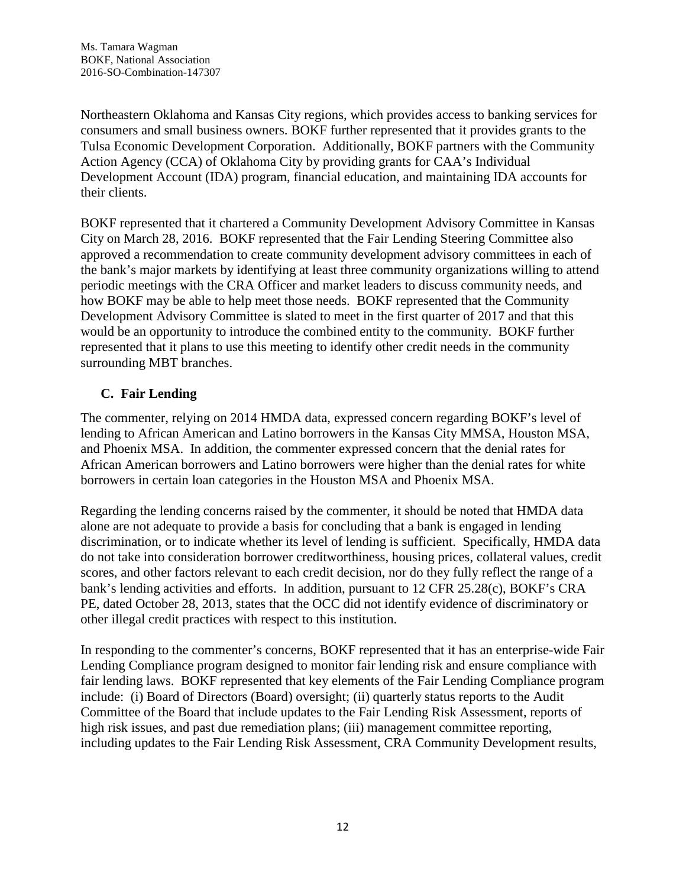Northeastern Oklahoma and Kansas City regions, which provides access to banking services for consumers and small business owners. BOKF further represented that it provides grants to the Tulsa Economic Development Corporation. Additionally, BOKF partners with the Community Action Agency (CCA) of Oklahoma City by providing grants for CAA's Individual Development Account (IDA) program, financial education, and maintaining IDA accounts for their clients.

BOKF represented that it chartered a Community Development Advisory Committee in Kansas City on March 28, 2016. BOKF represented that the Fair Lending Steering Committee also approved a recommendation to create community development advisory committees in each of the bank's major markets by identifying at least three community organizations willing to attend periodic meetings with the CRA Officer and market leaders to discuss community needs, and how BOKF may be able to help meet those needs. BOKF represented that the Community Development Advisory Committee is slated to meet in the first quarter of 2017 and that this would be an opportunity to introduce the combined entity to the community. BOKF further represented that it plans to use this meeting to identify other credit needs in the community surrounding MBT branches.

# **C. Fair Lending**

The commenter, relying on 2014 HMDA data, expressed concern regarding BOKF's level of lending to African American and Latino borrowers in the Kansas City MMSA, Houston MSA, and Phoenix MSA. In addition, the commenter expressed concern that the denial rates for African American borrowers and Latino borrowers were higher than the denial rates for white borrowers in certain loan categories in the Houston MSA and Phoenix MSA.

Regarding the lending concerns raised by the commenter, it should be noted that HMDA data alone are not adequate to provide a basis for concluding that a bank is engaged in lending discrimination, or to indicate whether its level of lending is sufficient. Specifically, HMDA data do not take into consideration borrower creditworthiness, housing prices, collateral values, credit scores, and other factors relevant to each credit decision, nor do they fully reflect the range of a bank's lending activities and efforts. In addition, pursuant to 12 CFR 25.28(c), BOKF's CRA PE, dated October 28, 2013, states that the OCC did not identify evidence of discriminatory or other illegal credit practices with respect to this institution.

In responding to the commenter's concerns, BOKF represented that it has an enterprise-wide Fair Lending Compliance program designed to monitor fair lending risk and ensure compliance with fair lending laws. BOKF represented that key elements of the Fair Lending Compliance program include: (i) Board of Directors (Board) oversight; (ii) quarterly status reports to the Audit Committee of the Board that include updates to the Fair Lending Risk Assessment, reports of high risk issues, and past due remediation plans; (iii) management committee reporting, including updates to the Fair Lending Risk Assessment, CRA Community Development results,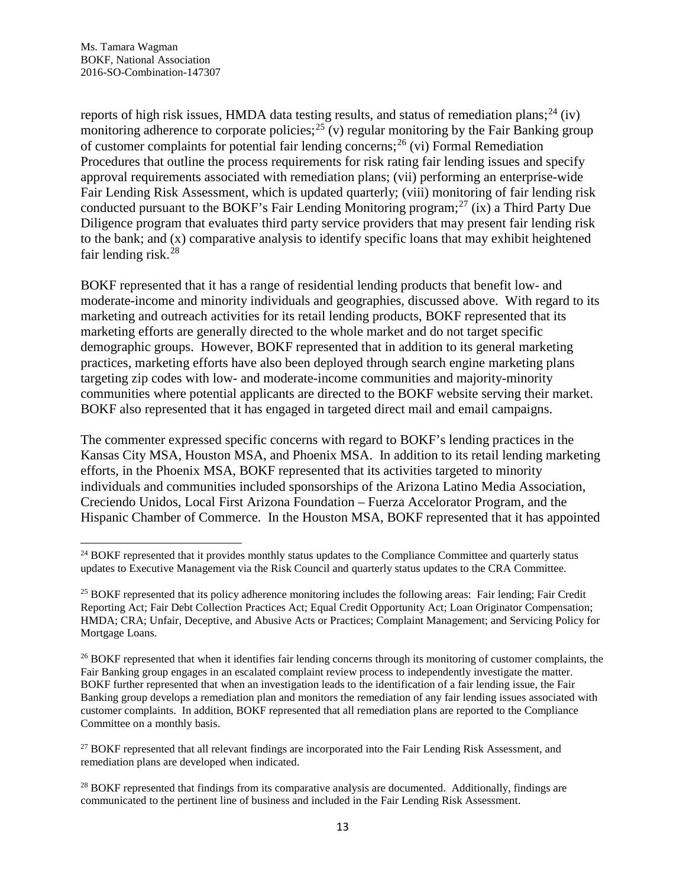reports of high risk issues, HMDA data testing results, and status of remediation plans;  $^{24}$  $^{24}$  $^{24}$  (iv) monitoring adherence to corporate policies;<sup>[25](#page-12-1)</sup> (v) regular monitoring by the Fair Banking group of customer complaints for potential fair lending concerns;<sup>[26](#page-12-2)</sup> (vi) Formal Remediation Procedures that outline the process requirements for risk rating fair lending issues and specify approval requirements associated with remediation plans; (vii) performing an enterprise-wide Fair Lending Risk Assessment, which is updated quarterly; (viii) monitoring of fair lending risk conducted pursuant to the BOKF's Fair Lending Monitoring program;<sup>[27](#page-12-3)</sup> (ix) a Third Party Due Diligence program that evaluates third party service providers that may present fair lending risk to the bank; and (x) comparative analysis to identify specific loans that may exhibit heightened fair lending risk.<sup>[28](#page-12-4)</sup>

BOKF represented that it has a range of residential lending products that benefit low- and moderate-income and minority individuals and geographies, discussed above. With regard to its marketing and outreach activities for its retail lending products, BOKF represented that its marketing efforts are generally directed to the whole market and do not target specific demographic groups. However, BOKF represented that in addition to its general marketing practices, marketing efforts have also been deployed through search engine marketing plans targeting zip codes with low- and moderate-income communities and majority-minority communities where potential applicants are directed to the BOKF website serving their market. BOKF also represented that it has engaged in targeted direct mail and email campaigns.

The commenter expressed specific concerns with regard to BOKF's lending practices in the Kansas City MSA, Houston MSA, and Phoenix MSA. In addition to its retail lending marketing efforts, in the Phoenix MSA, BOKF represented that its activities targeted to minority individuals and communities included sponsorships of the Arizona Latino Media Association, Creciendo Unidos, Local First Arizona Foundation – Fuerza Accelorator Program, and the Hispanic Chamber of Commerce. In the Houston MSA, BOKF represented that it has appointed

<span id="page-12-0"></span><sup>&</sup>lt;sup>24</sup> BOKF represented that it provides monthly status updates to the Compliance Committee and quarterly status updates to Executive Management via the Risk Council and quarterly status updates to the CRA Committee.

<span id="page-12-1"></span><sup>&</sup>lt;sup>25</sup> BOKF represented that its policy adherence monitoring includes the following areas: Fair lending; Fair Credit Reporting Act; Fair Debt Collection Practices Act; Equal Credit Opportunity Act; Loan Originator Compensation; HMDA; CRA; Unfair, Deceptive, and Abusive Acts or Practices; Complaint Management; and Servicing Policy for Mortgage Loans.

<span id="page-12-2"></span><sup>&</sup>lt;sup>26</sup> BOKF represented that when it identifies fair lending concerns through its monitoring of customer complaints, the Fair Banking group engages in an escalated complaint review process to independently investigate the matter. BOKF further represented that when an investigation leads to the identification of a fair lending issue, the Fair Banking group develops a remediation plan and monitors the remediation of any fair lending issues associated with customer complaints. In addition, BOKF represented that all remediation plans are reported to the Compliance Committee on a monthly basis.

<span id="page-12-3"></span><sup>&</sup>lt;sup>27</sup> BOKF represented that all relevant findings are incorporated into the Fair Lending Risk Assessment, and remediation plans are developed when indicated.

<span id="page-12-4"></span><sup>&</sup>lt;sup>28</sup> BOKF represented that findings from its comparative analysis are documented. Additionally, findings are communicated to the pertinent line of business and included in the Fair Lending Risk Assessment.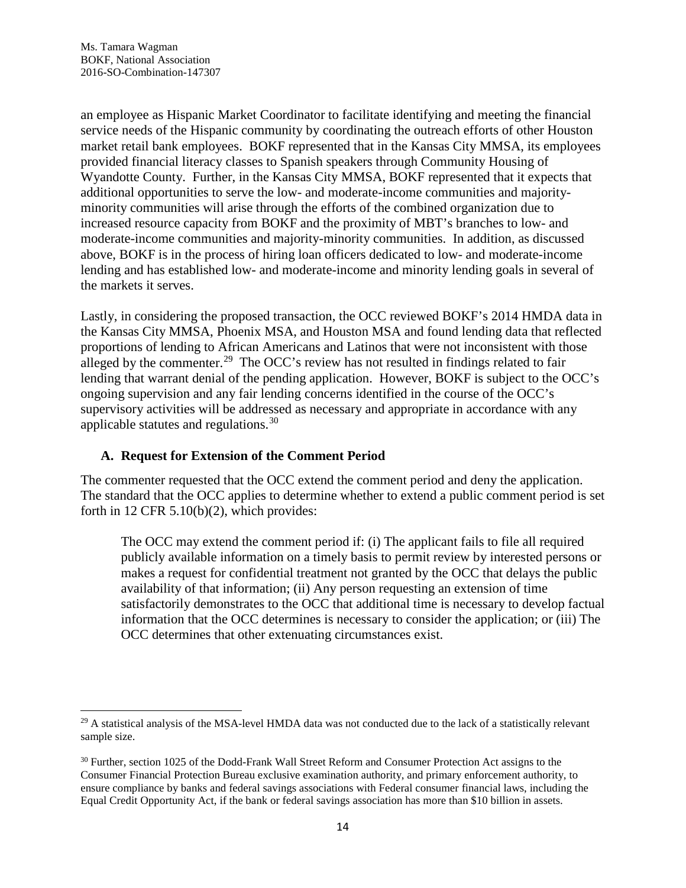an employee as Hispanic Market Coordinator to facilitate identifying and meeting the financial service needs of the Hispanic community by coordinating the outreach efforts of other Houston market retail bank employees. BOKF represented that in the Kansas City MMSA, its employees provided financial literacy classes to Spanish speakers through Community Housing of Wyandotte County. Further, in the Kansas City MMSA, BOKF represented that it expects that additional opportunities to serve the low- and moderate-income communities and majorityminority communities will arise through the efforts of the combined organization due to increased resource capacity from BOKF and the proximity of MBT's branches to low- and moderate-income communities and majority-minority communities. In addition, as discussed above, BOKF is in the process of hiring loan officers dedicated to low- and moderate-income lending and has established low- and moderate-income and minority lending goals in several of the markets it serves.

Lastly, in considering the proposed transaction, the OCC reviewed BOKF's 2014 HMDA data in the Kansas City MMSA, Phoenix MSA, and Houston MSA and found lending data that reflected proportions of lending to African Americans and Latinos that were not inconsistent with those alleged by the commenter.<sup>[29](#page-13-0)</sup> The OCC's review has not resulted in findings related to fair lending that warrant denial of the pending application. However, BOKF is subject to the OCC's ongoing supervision and any fair lending concerns identified in the course of the OCC's supervisory activities will be addressed as necessary and appropriate in accordance with any applicable statutes and regulations.[30](#page-13-1)

#### **A. Request for Extension of the Comment Period**

The commenter requested that the OCC extend the comment period and deny the application. The standard that the OCC applies to determine whether to extend a public comment period is set forth in 12 CFR 5.10(b)(2), which provides:

The OCC may extend the comment period if: (i) The applicant fails to file all required publicly available information on a timely basis to permit review by interested persons or makes a request for confidential treatment not granted by the OCC that delays the public availability of that information; (ii) Any person requesting an extension of time satisfactorily demonstrates to the OCC that additional time is necessary to develop factual information that the OCC determines is necessary to consider the application; or (iii) The OCC determines that other extenuating circumstances exist.

<span id="page-13-0"></span> $29$  A statistical analysis of the MSA-level HMDA data was not conducted due to the lack of a statistically relevant sample size.

<span id="page-13-1"></span><sup>&</sup>lt;sup>30</sup> Further, section 1025 of the Dodd-Frank Wall Street Reform and Consumer Protection Act assigns to the Consumer Financial Protection Bureau exclusive examination authority, and primary enforcement authority, to ensure compliance by banks and federal savings associations with Federal consumer financial laws, including the Equal Credit Opportunity Act, if the bank or federal savings association has more than \$10 billion in assets.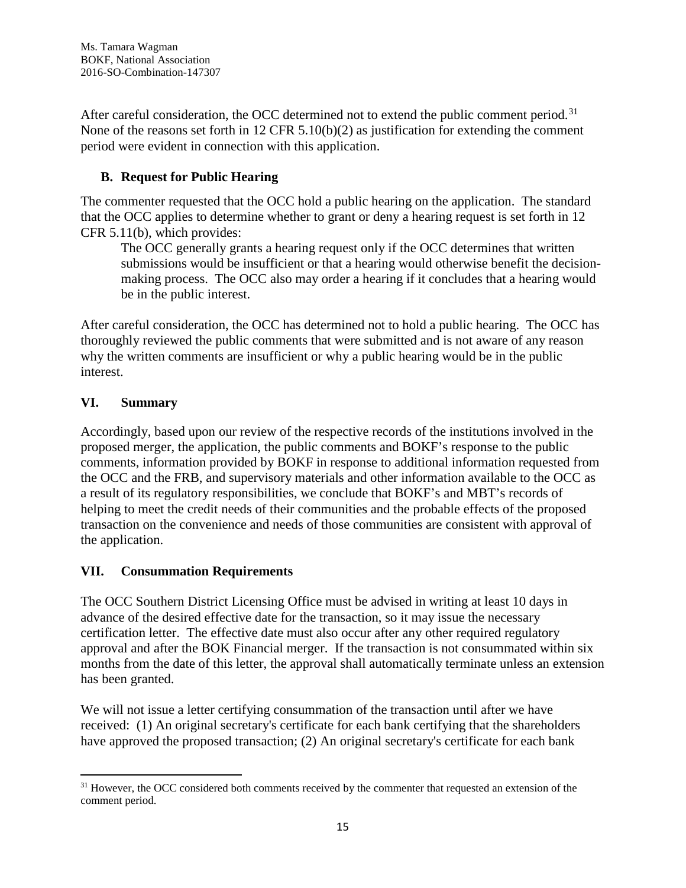After careful consideration, the OCC determined not to extend the public comment period.<sup>[31](#page-14-0)</sup> None of the reasons set forth in 12 CFR 5.10(b)(2) as justification for extending the comment period were evident in connection with this application.

# **B. Request for Public Hearing**

The commenter requested that the OCC hold a public hearing on the application. The standard that the OCC applies to determine whether to grant or deny a hearing request is set forth in 12 CFR 5.11(b), which provides:

The OCC generally grants a hearing request only if the OCC determines that written submissions would be insufficient or that a hearing would otherwise benefit the decisionmaking process. The OCC also may order a hearing if it concludes that a hearing would be in the public interest.

After careful consideration, the OCC has determined not to hold a public hearing. The OCC has thoroughly reviewed the public comments that were submitted and is not aware of any reason why the written comments are insufficient or why a public hearing would be in the public interest.

# **VI. Summary**

Accordingly, based upon our review of the respective records of the institutions involved in the proposed merger, the application, the public comments and BOKF's response to the public comments, information provided by BOKF in response to additional information requested from the OCC and the FRB, and supervisory materials and other information available to the OCC as a result of its regulatory responsibilities, we conclude that BOKF's and MBT's records of helping to meet the credit needs of their communities and the probable effects of the proposed transaction on the convenience and needs of those communities are consistent with approval of the application.

#### **VII. Consummation Requirements**

The OCC Southern District Licensing Office must be advised in writing at least 10 days in advance of the desired effective date for the transaction, so it may issue the necessary certification letter. The effective date must also occur after any other required regulatory approval and after the BOK Financial merger. If the transaction is not consummated within six months from the date of this letter, the approval shall automatically terminate unless an extension has been granted.

We will not issue a letter certifying consummation of the transaction until after we have received: (1) An original secretary's certificate for each bank certifying that the shareholders have approved the proposed transaction; (2) An original secretary's certificate for each bank

<span id="page-14-0"></span><sup>&</sup>lt;sup>31</sup> However, the OCC considered both comments received by the commenter that requested an extension of the comment period.